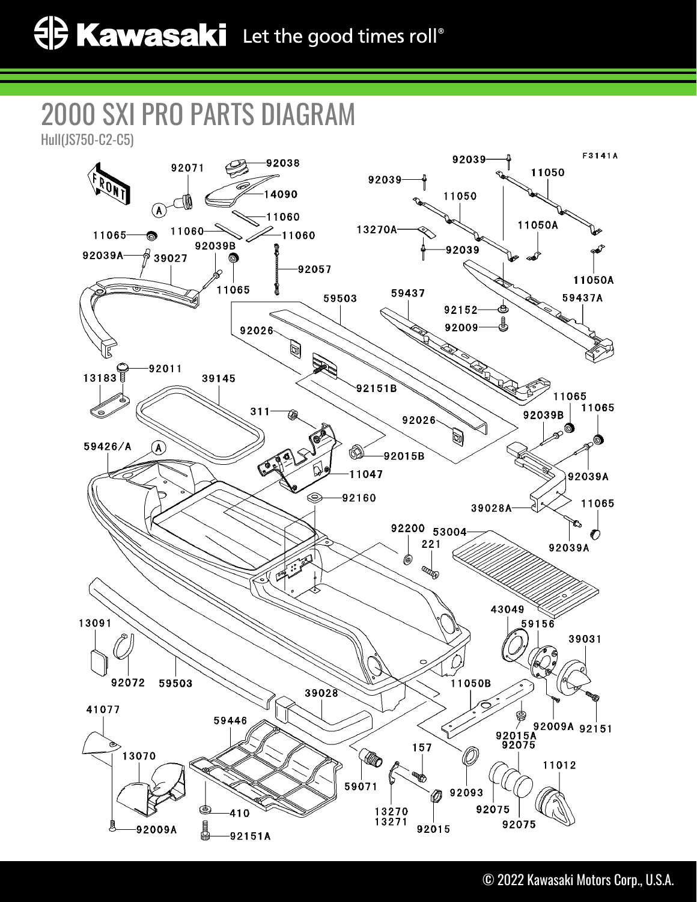## 2000 SXI PRO PARTS DIAGRAM

Hull(JS750-C2-C5)

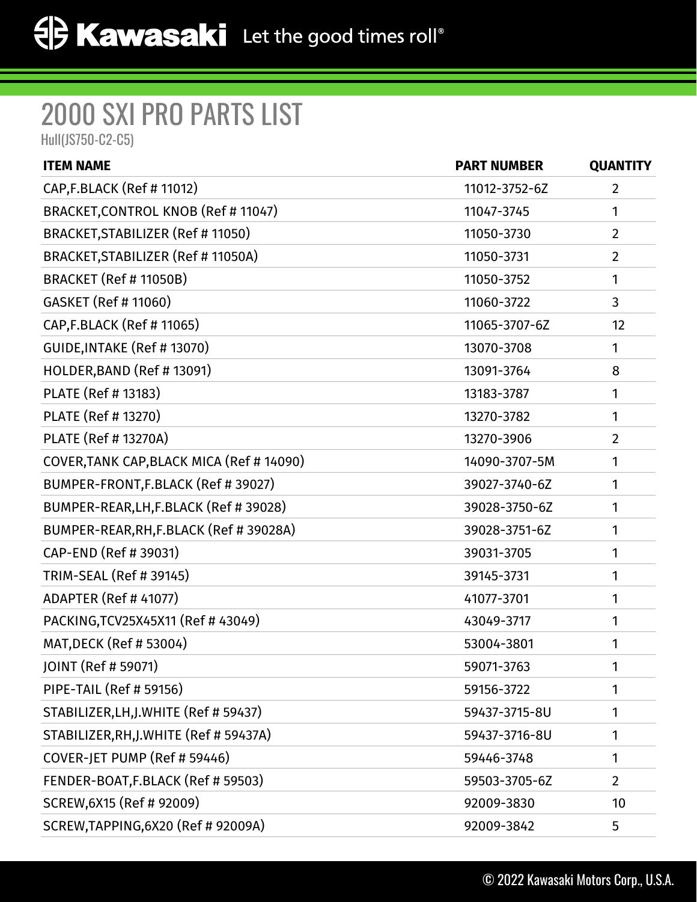## 2000 SXI PRO PARTS LIST

Hull(JS750-C2-C5)

| <b>ITEM NAME</b>                          | <b>PART NUMBER</b> | <b>QUANTITY</b> |
|-------------------------------------------|--------------------|-----------------|
| CAP, F.BLACK (Ref # 11012)                | 11012-3752-6Z      | 2               |
| BRACKET, CONTROL KNOB (Ref # 11047)       | 11047-3745         | 1               |
| BRACKET, STABILIZER (Ref # 11050)         | 11050-3730         | $\overline{2}$  |
| BRACKET, STABILIZER (Ref # 11050A)        | 11050-3731         | $\overline{2}$  |
| BRACKET (Ref # 11050B)                    | 11050-3752         | 1               |
| GASKET (Ref # 11060)                      | 11060-3722         | 3               |
| CAP, F.BLACK (Ref # 11065)                | 11065-3707-6Z      | 12              |
| GUIDE, INTAKE (Ref # 13070)               | 13070-3708         | 1               |
| HOLDER, BAND (Ref # 13091)                | 13091-3764         | 8               |
| PLATE (Ref # 13183)                       | 13183-3787         | 1               |
| PLATE (Ref # 13270)                       | 13270-3782         | 1               |
| <b>PLATE (Ref # 13270A)</b>               | 13270-3906         | $\overline{2}$  |
| COVER, TANK CAP, BLACK MICA (Ref # 14090) | 14090-3707-5M      | 1               |
| BUMPER-FRONT, F.BLACK (Ref # 39027)       | 39027-3740-6Z      | 1               |
| BUMPER-REAR, LH, F.BLACK (Ref #39028)     | 39028-3750-6Z      | 1               |
| BUMPER-REAR, RH, F.BLACK (Ref # 39028A)   | 39028-3751-6Z      | 1               |
| CAP-END (Ref # 39031)                     | 39031-3705         | 1               |
| TRIM-SEAL (Ref # 39145)                   | 39145-3731         | 1               |
| ADAPTER (Ref # 41077)                     | 41077-3701         | 1               |
| PACKING, TCV25X45X11 (Ref #43049)         | 43049-3717         | 1               |
| MAT, DECK (Ref # 53004)                   | 53004-3801         | 1               |
| JOINT (Ref # 59071)                       | 59071-3763         | 1               |
| <b>PIPE-TAIL (Ref # 59156)</b>            | 59156-3722         | 1               |
| STABILIZER, LH, J.WHITE (Ref # 59437)     | 59437-3715-8U      | 1               |
| STABILIZER, RH, J. WHITE (Ref # 59437A)   | 59437-3716-8U      | 1               |
| COVER-JET PUMP (Ref # 59446)              | 59446-3748         | 1               |
| FENDER-BOAT, F.BLACK (Ref # 59503)        | 59503-3705-6Z      | $\overline{2}$  |
| SCREW, 6X15 (Ref # 92009)                 | 92009-3830         | 10              |
| SCREW, TAPPING, 6X20 (Ref # 92009A)       | 92009-3842         | 5               |